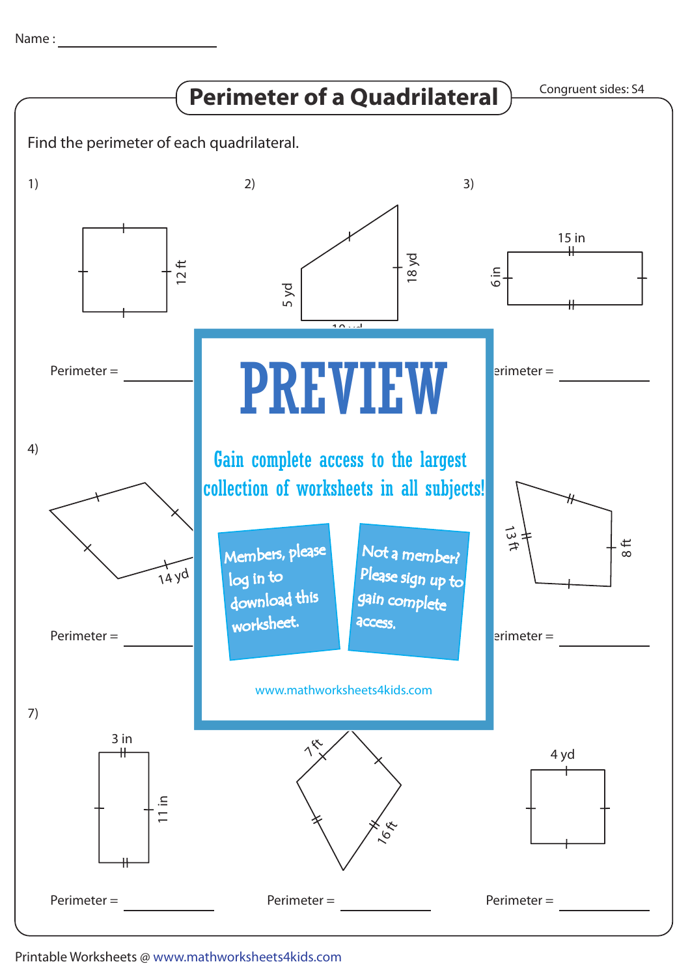